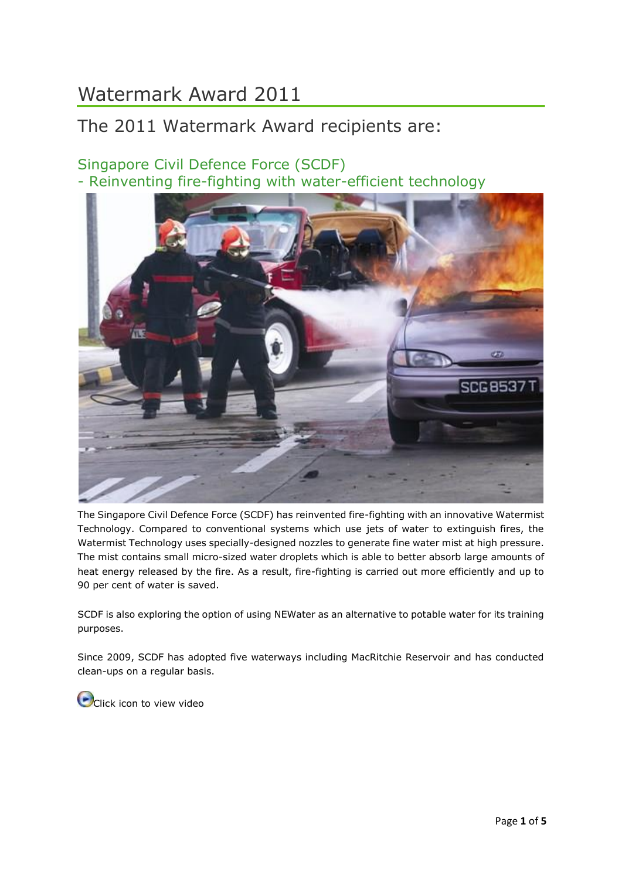# Watermark Award 2011

# The 2011 Watermark Award recipients are:

# Singapore Civil Defence Force (SCDF) - Reinventing fire-fighting with water-efficient technology



The Singapore Civil Defence Force (SCDF) has reinvented fire-fighting with an innovative Watermist Technology. Compared to conventional systems which use jets of water to extinguish fires, the Watermist Technology uses specially-designed nozzles to generate fine water mist at high pressure. The mist contains small micro-sized water droplets which is able to better absorb large amounts of heat energy released by the fire. As a result, fire-fighting is carried out more efficiently and up to 90 per cent of water is saved.

SCDF is also exploring the option of using NEWater as an alternative to potable water for its training purposes.

Since 2009, SCDF has adopted five waterways including MacRitchie Reservoir and has conducted clean-ups on a regular basis.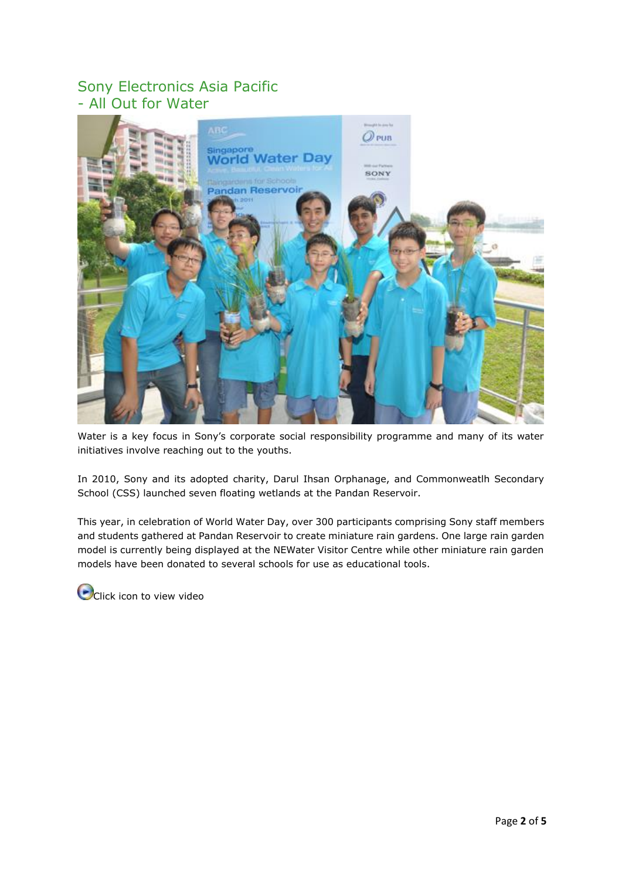#### Sony Electronics Asia Pacific - All Out for Water



Water is a key focus in Sony's corporate social responsibility programme and many of its water initiatives involve reaching out to the youths.

In 2010, Sony and its adopted charity, Darul Ihsan Orphanage, and Commonweatlh Secondary School (CSS) launched seven floating wetlands at the Pandan Reservoir.

This year, in celebration of World Water Day, over 300 participants comprising Sony staff members and students gathered at Pandan Reservoir to create miniature rain gardens. One large rain garden model is currently being displayed at the NEWater Visitor Centre while other miniature rain garden models have been donated to several schools for use as educational tools.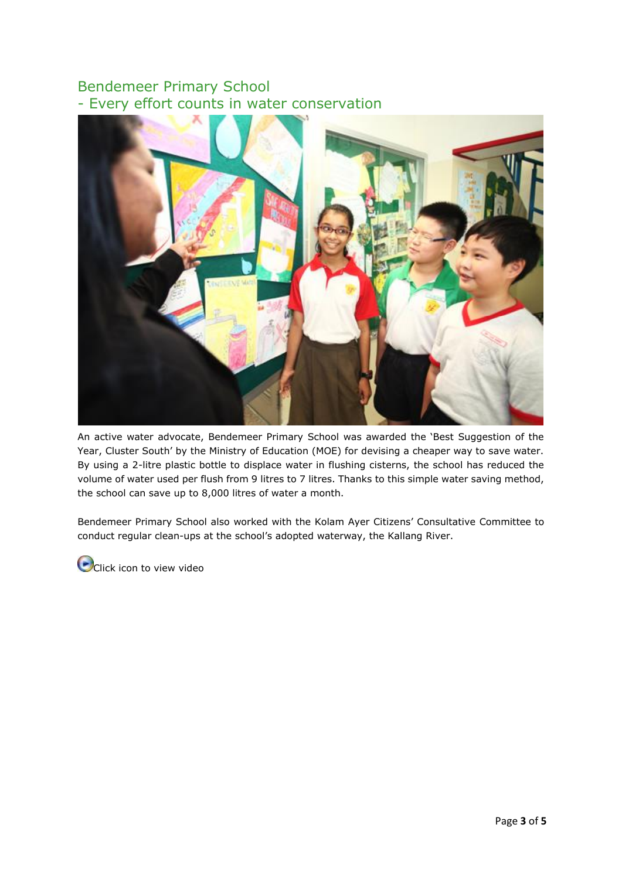### Bendemeer Primary School - Every effort counts in water conservation



An active water advocate, Bendemeer Primary School was awarded the 'Best Suggestion of the Year, Cluster South' by the Ministry of Education (MOE) for devising a cheaper way to save water. By using a 2-litre plastic bottle to displace water in flushing cisterns, the school has reduced the volume of water used per flush from 9 litres to 7 litres. Thanks to this simple water saving method, the school can save up to 8,000 litres of water a month.

Bendemeer Primary School also worked with the Kolam Ayer Citizens' Consultative Committee to conduct regular clean-ups at the school's adopted waterway, the Kallang River.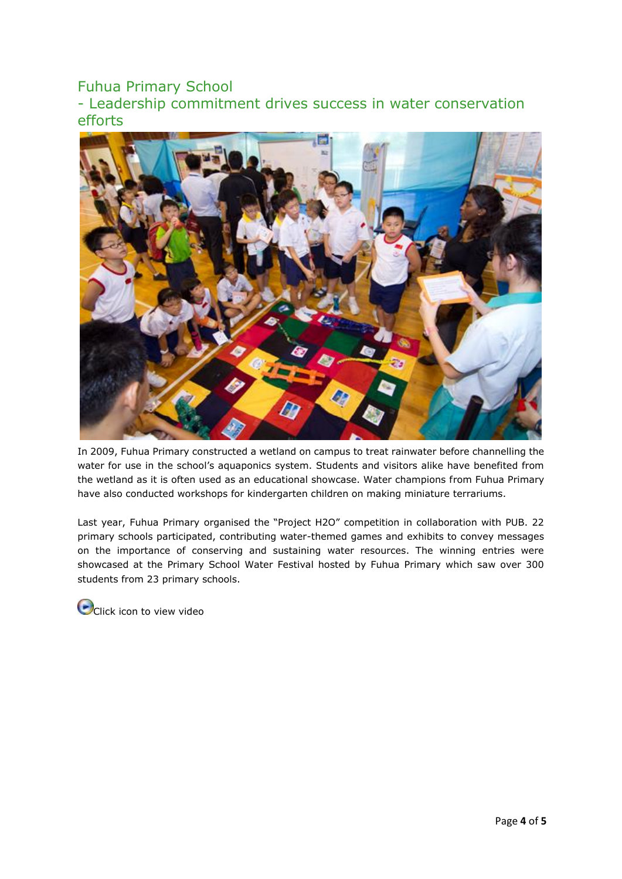# Fuhua Primary School

- Leadership commitment drives success in water conservation efforts



In 2009, Fuhua Primary constructed a wetland on campus to treat rainwater before channelling the water for use in the school's aquaponics system. Students and visitors alike have benefited from the wetland as it is often used as an educational showcase. Water champions from Fuhua Primary have also conducted workshops for kindergarten children on making miniature terrariums.

Last year, Fuhua Primary organised the "Project H2O" competition in collaboration with PUB. 22 primary schools participated, contributing water-themed games and exhibits to convey messages on the importance of conserving and sustaining water resources. The winning entries were showcased at the Primary School Water Festival hosted by Fuhua Primary which saw over 300 students from 23 primary schools.